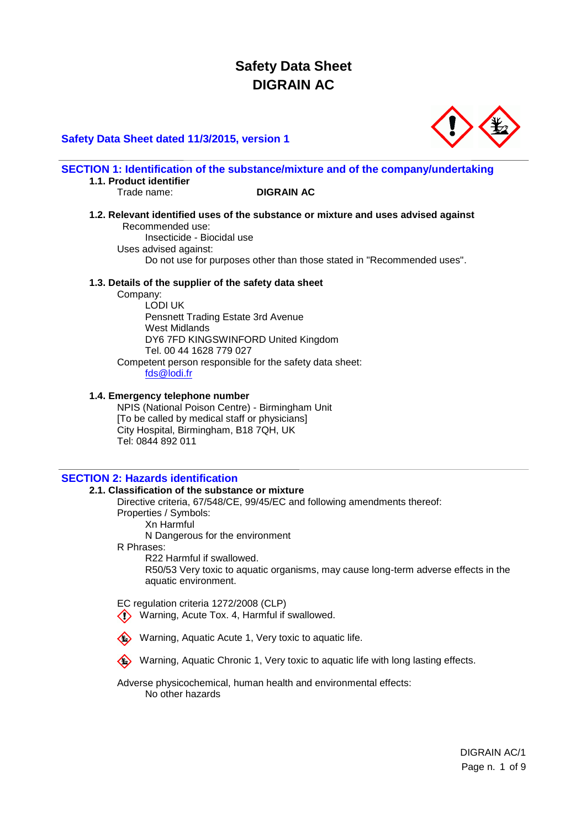## **Safety Data Sheet dated 11/3/2015, version 1**



#### **SECTION 1: Identification of the substance/mixture and of the company/undertaking 1.1. Product identifier**

#### Trade name: **DIGRAIN AC**

**1.2. Relevant identified uses of the substance or mixture and uses advised against** Recommended use:

Insecticide - Biocidal use Uses advised against: Do not use for purposes other than those stated in "Recommended uses".

#### **1.3. Details of the supplier of the safety data sheet**

Company:

LODI UK Pensnett Trading Estate 3rd Avenue West Midlands DY6 7FD KINGSWINFORD United Kingdom Tel. 00 44 1628 779 027 Competent person responsible for the safety data sheet: [fds@lodi.fr](mailto:fds@lodi.fr)

#### **1.4. Emergency telephone number**

NPIS (National Poison Centre) - Birmingham Unit [To be called by medical staff or physicians] City Hospital, Birmingham, B18 7QH, UK Tel: 0844 892 011

## **SECTION 2: Hazards identification**

#### **2.1. Classification of the substance or mixture**

Directive criteria, 67/548/CE, 99/45/EC and following amendments thereof: Properties / Symbols: Xn Harmful

N Dangerous for the environment

R Phrases:

R22 Harmful if swallowed. R50/53 Very toxic to aquatic organisms, may cause long-term adverse effects in the aquatic environment.

EC regulation criteria 1272/2008 (CLP)

**(1)** Warning, Acute Tox. 4, Harmful if swallowed.



Warning, Aquatic Chronic 1, Very toxic to aquatic life with long lasting effects.

Adverse physicochemical, human health and environmental effects: No other hazards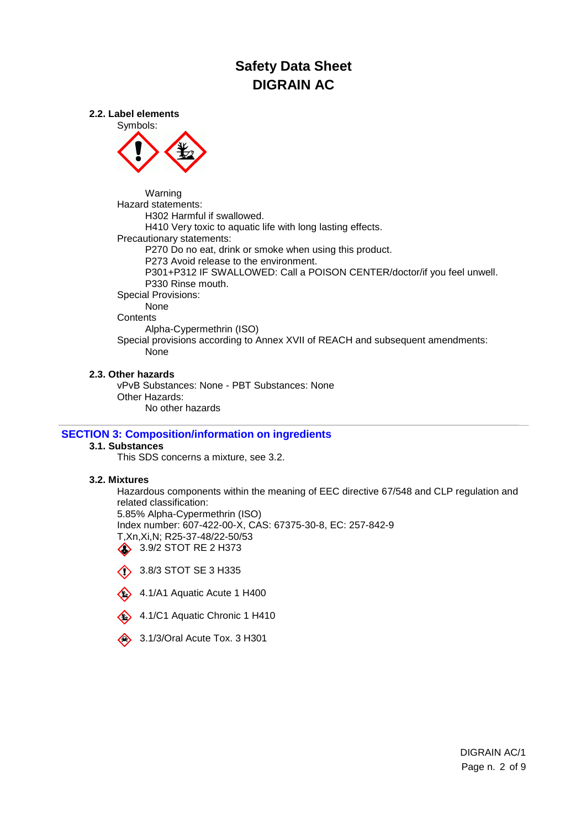**2.2. Label elements**



Warning Hazard statements: H302 Harmful if swallowed. H410 Very toxic to aquatic life with long lasting effects. Precautionary statements: P270 Do no eat, drink or smoke when using this product. P273 Avoid release to the environment. P301+P312 IF SWALLOWED: Call a POISON CENTER/doctor/if you feel unwell. P330 Rinse mouth. Special Provisions: None **Contents** Alpha-Cypermethrin (ISO) Special provisions according to Annex XVII of REACH and subsequent amendments: None

#### **2.3. Other hazards**

vPvB Substances: None - PBT Substances: None Other Hazards: No other hazards

## **SECTION 3: Composition/information on ingredients**

# **3.1. Substances**

This SDS concerns a mixture, see 3.2.

### **3.2. Mixtures**

Hazardous components within the meaning of EEC directive 67/548 and CLP regulation and related classification: 5.85% Alpha-Cypermethrin (ISO) Index number: 607-422-00-X, CAS: 67375-30-8, EC: 257-842-9 T,Xn,Xi,N; R25-37-48/22-50/53 3.9/2 STOT RE 2 H373

 $\bullet$  3.8/3 STOT SE 3 H335



- 4.1/C1 Aquatic Chronic 1 H410
- 3.1/3/Oral Acute Tox. 3 H301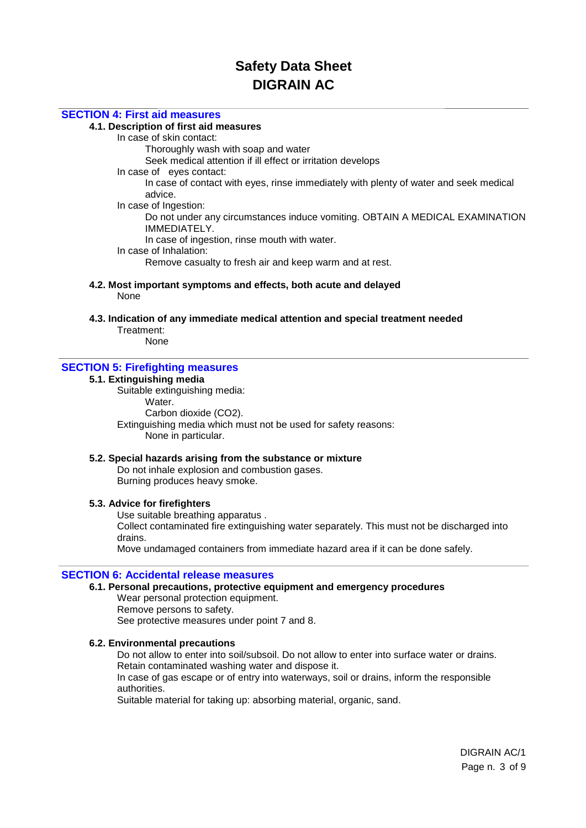## **SECTION 4: First aid measures**

## **4.1. Description of first aid measures**

In case of skin contact:

Thoroughly wash with soap and water

Seek medical attention if ill effect or irritation develops

In case of eyes contact:

In case of contact with eyes, rinse immediately with plenty of water and seek medical advice.

In case of Ingestion:

Do not under any circumstances induce vomiting. OBTAIN A MEDICAL EXAMINATION IMMEDIATELY.

In case of ingestion, rinse mouth with water.

In case of Inhalation:

Remove casualty to fresh air and keep warm and at rest.

- **4.2. Most important symptoms and effects, both acute and delayed** None
- **4.3. Indication of any immediate medical attention and special treatment needed** Treatment:

None

### **SECTION 5: Firefighting measures**

#### **5.1. Extinguishing media**

Suitable extinguishing media: Water. Carbon dioxide (CO2). Extinguishing media which must not be used for safety reasons: None in particular.

#### **5.2. Special hazards arising from the substance or mixture**

Do not inhale explosion and combustion gases. Burning produces heavy smoke.

#### **5.3. Advice for firefighters**

Use suitable breathing apparatus .

Collect contaminated fire extinguishing water separately. This must not be discharged into drains.

Move undamaged containers from immediate hazard area if it can be done safely.

#### **SECTION 6: Accidental release measures**

## **6.1. Personal precautions, protective equipment and emergency procedures**

Wear personal protection equipment. Remove persons to safety. See protective measures under point 7 and 8.

#### **6.2. Environmental precautions**

Do not allow to enter into soil/subsoil. Do not allow to enter into surface water or drains. Retain contaminated washing water and dispose it. In case of gas escape or of entry into waterways, soil or drains, inform the responsible authorities.

Suitable material for taking up: absorbing material, organic, sand.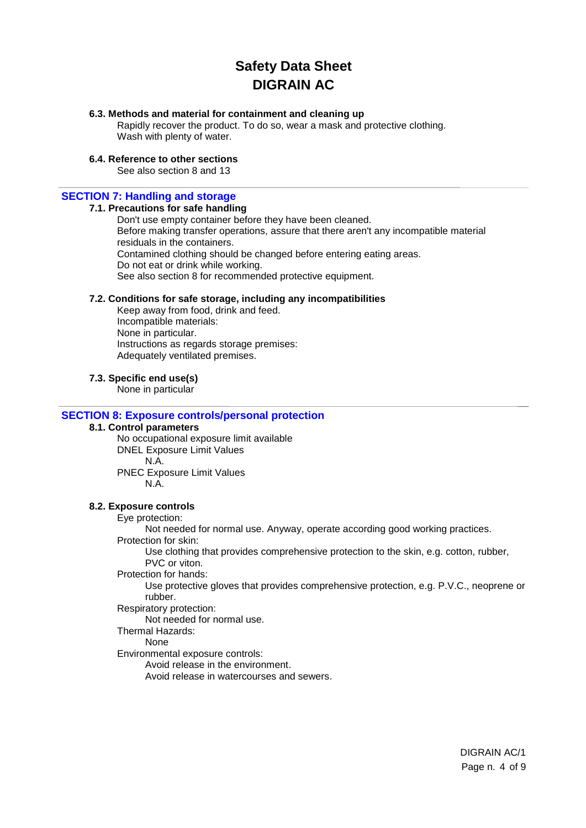## **6.3. Methods and material for containment and cleaning up**

Rapidly recover the product. To do so, wear a mask and protective clothing. Wash with plenty of water.

### **6.4. Reference to other sections**

See also section 8 and 13

#### **SECTION 7: Handling and storage**

#### **7.1. Precautions for safe handling**

Don't use empty container before they have been cleaned. Before making transfer operations, assure that there aren't any incompatible material residuals in the containers. Contamined clothing should be changed before entering eating areas. Do not eat or drink while working. See also section 8 for recommended protective equipment.

#### **7.2. Conditions for safe storage, including any incompatibilities**

Keep away from food, drink and feed. Incompatible materials: None in particular. Instructions as regards storage premises: Adequately ventilated premises.

**7.3. Specific end use(s)**

None in particular

#### **SECTION 8: Exposure controls/personal protection**

#### **8.1. Control parameters**

No occupational exposure limit available DNEL Exposure Limit Values N.A. PNEC Exposure Limit Values N.A.

#### **8.2. Exposure controls**

#### Eye protection:

Not needed for normal use. Anyway, operate according good working practices.

Protection for skin:

Use clothing that provides comprehensive protection to the skin, e.g. cotton, rubber, PVC or viton.

#### Protection for hands:

Use protective gloves that provides comprehensive protection, e.g. P.V.C., neoprene or rubber.

## Respiratory protection:

Not needed for normal use.

## Thermal Hazards:

## None

Environmental exposure controls:

Avoid release in the environment.

Avoid release in watercourses and sewers.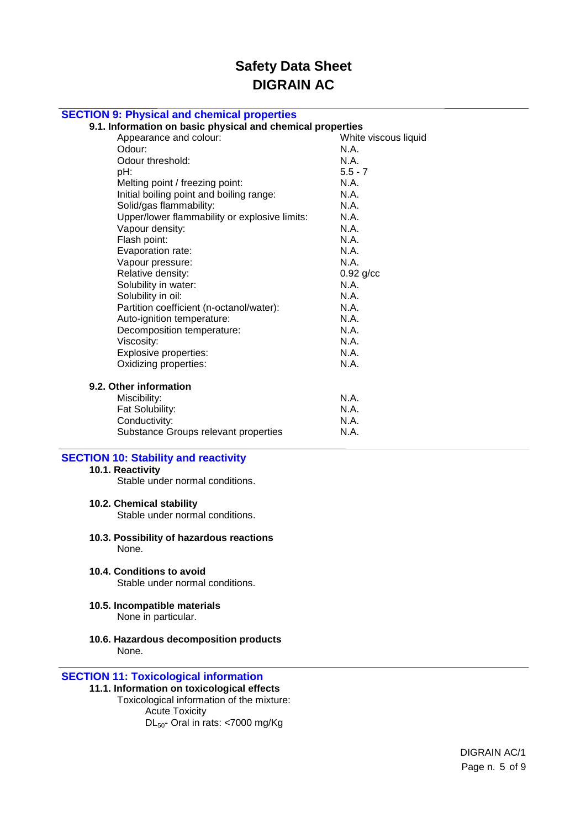| <b>SECTION 9: Physical and chemical properties</b><br>9.1. Information on basic physical and chemical properties |                                     |                                                                                                                                                                                            |                                                      |
|------------------------------------------------------------------------------------------------------------------|-------------------------------------|--------------------------------------------------------------------------------------------------------------------------------------------------------------------------------------------|------------------------------------------------------|
|                                                                                                                  |                                     |                                                                                                                                                                                            | Appearance and colour:                               |
| Odour:                                                                                                           | N.A.                                |                                                                                                                                                                                            |                                                      |
| Odour threshold:                                                                                                 | N.A.                                |                                                                                                                                                                                            |                                                      |
| pH:                                                                                                              | $5.5 - 7$                           |                                                                                                                                                                                            |                                                      |
| Melting point / freezing point:                                                                                  | N.A.                                |                                                                                                                                                                                            |                                                      |
| Initial boiling point and boiling range:                                                                         | N.A.                                |                                                                                                                                                                                            |                                                      |
| Solid/gas flammability:                                                                                          | N.A.                                |                                                                                                                                                                                            |                                                      |
| Upper/lower flammability or explosive limits:                                                                    | N.A.                                |                                                                                                                                                                                            |                                                      |
| Vapour density:                                                                                                  | N.A.                                |                                                                                                                                                                                            |                                                      |
| Flash point:<br>Evaporation rate:<br>Vapour pressure:<br>Relative density:                                       | N.A.<br>N.A.<br>N.A.<br>$0.92$ g/cc |                                                                                                                                                                                            |                                                      |
|                                                                                                                  |                                     | Solubility in water:                                                                                                                                                                       | N.A.                                                 |
|                                                                                                                  |                                     | Solubility in oil:<br>Partition coefficient (n-octanol/water):<br>Auto-ignition temperature:<br>Decomposition temperature:<br>Viscosity:<br>Explosive properties:<br>Oxidizing properties: | N.A.<br>N.A.<br>N.A.<br>N.A.<br>N.A.<br>N.A.<br>N.A. |
|                                                                                                                  |                                     |                                                                                                                                                                                            |                                                      |
| Miscibility:                                                                                                     | N.A.                                |                                                                                                                                                                                            |                                                      |
| Fat Solubility:                                                                                                  | N.A.                                |                                                                                                                                                                                            |                                                      |
| Conductivity:                                                                                                    | N.A.                                |                                                                                                                                                                                            |                                                      |
| Substance Groups relevant properties                                                                             | N.A.                                |                                                                                                                                                                                            |                                                      |
| <b>SECTION 10: Stability and reactivity</b>                                                                      |                                     |                                                                                                                                                                                            |                                                      |
| 10.1. Reactivity                                                                                                 |                                     |                                                                                                                                                                                            |                                                      |
| Stable under normal conditions.                                                                                  |                                     |                                                                                                                                                                                            |                                                      |
| 10.2. Chemical stability                                                                                         |                                     |                                                                                                                                                                                            |                                                      |

Stable under normal conditions.

- **10.3. Possibility of hazardous reactions** None.
- **10.4. Conditions to avoid** Stable under normal conditions.
- **10.5. Incompatible materials** None in particular.
- **10.6. Hazardous decomposition products** None.

## **SECTION 11: Toxicological information**

**11.1. Information on toxicological effects** Toxicological information of the mixture: Acute Toxicity

DL<sub>50</sub>- Oral in rats: <7000 mg/Kg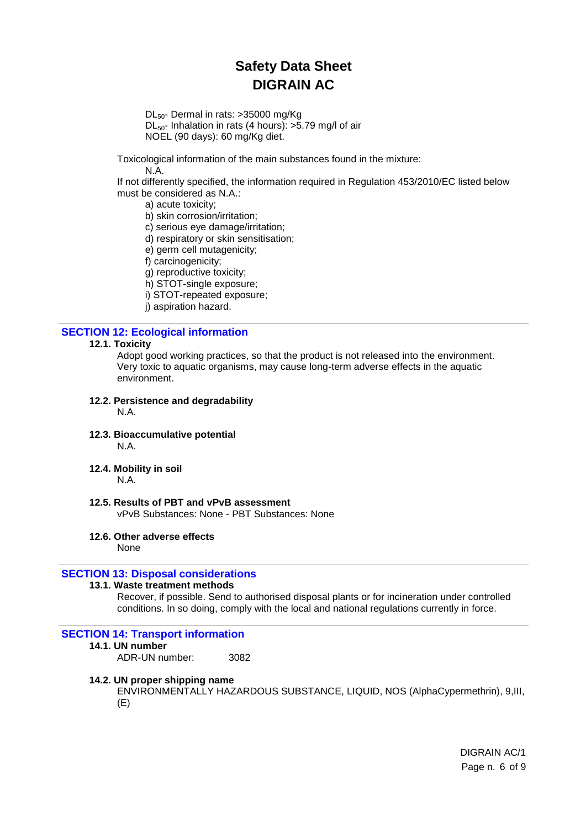DL50- Dermal in rats: >35000 mg/Kg  $DL<sub>50</sub>$ - Inhalation in rats (4 hours):  $>5.79$  mg/l of air

NOEL (90 days): 60 mg/Kg diet.

Toxicological information of the main substances found in the mixture: N.A.

If not differently specified, the information required in Regulation 453/2010/EC listed below must be considered as N.A.:

a) acute toxicity;

b) skin corrosion/irritation;

c) serious eye damage/irritation;

d) respiratory or skin sensitisation;

e) germ cell mutagenicity;

f) carcinogenicity;

g) reproductive toxicity;

h) STOT-single exposure;

i) STOT-repeated exposure;

j) aspiration hazard.

## **SECTION 12: Ecological information**

#### **12.1. Toxicity**

Adopt good working practices, so that the product is not released into the environment. Very toxic to aquatic organisms, may cause long-term adverse effects in the aquatic environment.

### **12.2. Persistence and degradability**

N.A.

**12.3. Bioaccumulative potential**

N.A.

**12.4. Mobility in soil**

N.A.

**12.5. Results of PBT and vPvB assessment**

vPvB Substances: None - PBT Substances: None

## **12.6. Other adverse effects**

None

## **SECTION 13: Disposal considerations**

## **13.1. Waste treatment methods**

Recover, if possible. Send to authorised disposal plants or for incineration under controlled conditions. In so doing, comply with the local and national regulations currently in force.

## **SECTION 14: Transport information**

#### **14.1. UN number**

ADR-UN number: 3082

#### **14.2. UN proper shipping name**

ENVIRONMENTALLY HAZARDOUS SUBSTANCE, LIQUID, NOS (AlphaCypermethrin), 9,III, (E)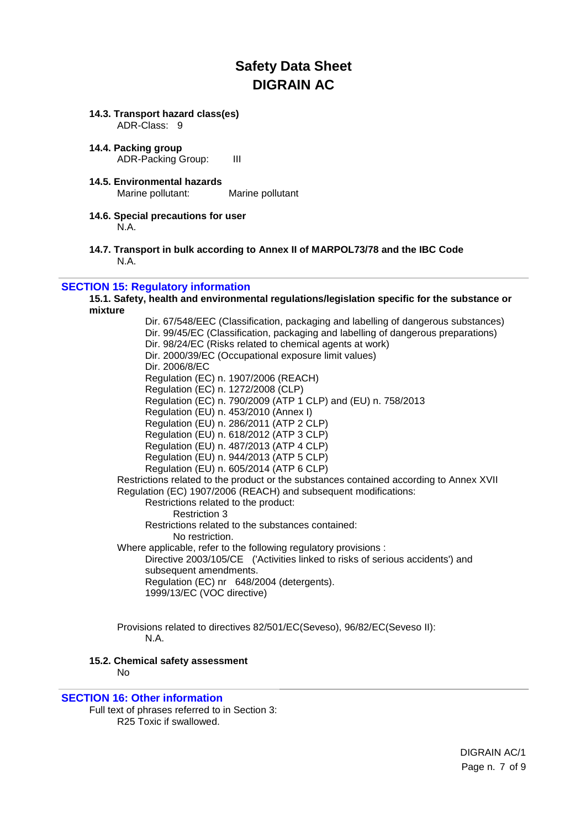#### **14.3. Transport hazard class(es)**  ADR-Class: 9

**14.4. Packing group** ADR-Packing Group: III

- **14.5. Environmental hazards** Marine pollutant: Marine pollutant
- **14.6. Special precautions for user** N.A.
- **14.7. Transport in bulk according to Annex II of MARPOL73/78 and the IBC Code** N.A.

## **SECTION 15: Regulatory information**

**15.1. Safety, health and environmental regulations/legislation specific for the substance or mixture**

Dir. 67/548/EEC (Classification, packaging and labelling of dangerous substances) Dir. 99/45/EC (Classification, packaging and labelling of dangerous preparations) Dir. 98/24/EC (Risks related to chemical agents at work) Dir. 2000/39/EC (Occupational exposure limit values) Dir. 2006/8/EC Regulation (EC) n. 1907/2006 (REACH) Regulation (EC) n. 1272/2008 (CLP) Regulation (EC) n. 790/2009 (ATP 1 CLP) and (EU) n. 758/2013 Regulation (EU) n. 453/2010 (Annex I) Regulation (EU) n. 286/2011 (ATP 2 CLP) Regulation (EU) n. 618/2012 (ATP 3 CLP) Regulation (EU) n. 487/2013 (ATP 4 CLP) Regulation (EU) n. 944/2013 (ATP 5 CLP) Regulation (EU) n. 605/2014 (ATP 6 CLP) Restrictions related to the product or the substances contained according to Annex XVII Regulation (EC) 1907/2006 (REACH) and subsequent modifications: Restrictions related to the product: Restriction 3 Restrictions related to the substances contained: No restriction. Where applicable, refer to the following regulatory provisions : Directive 2003/105/CE ('Activities linked to risks of serious accidents') and subsequent amendments. Regulation (EC) nr 648/2004 (detergents). 1999/13/EC (VOC directive)

Provisions related to directives 82/501/EC(Seveso), 96/82/EC(Seveso II): N.A.

### **15.2. Chemical safety assessment**

No

#### **SECTION 16: Other information**

Full text of phrases referred to in Section 3: R25 Toxic if swallowed.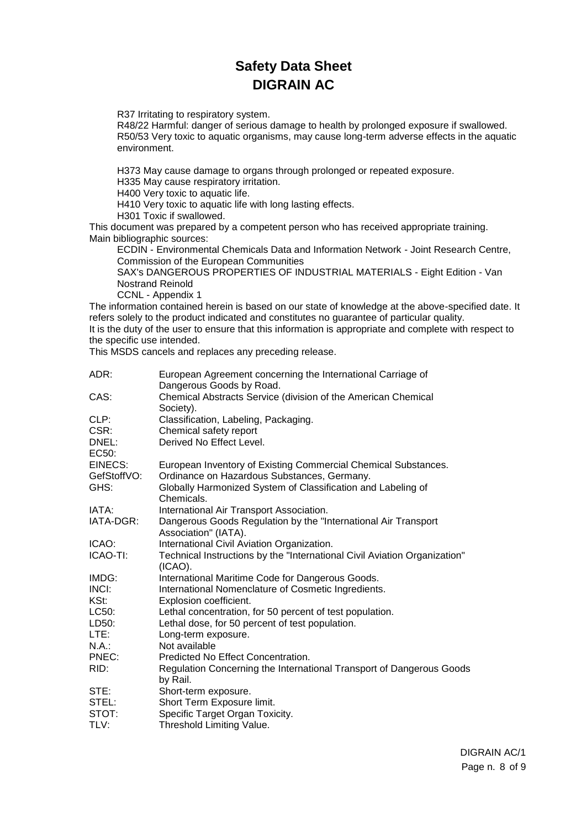R37 Irritating to respiratory system.

R48/22 Harmful: danger of serious damage to health by prolonged exposure if swallowed. R50/53 Very toxic to aquatic organisms, may cause long-term adverse effects in the aquatic environment.

H373 May cause damage to organs through prolonged or repeated exposure.

H335 May cause respiratory irritation.

H400 Very toxic to aquatic life.

H410 Very toxic to aquatic life with long lasting effects.

H301 Toxic if swallowed.

This document was prepared by a competent person who has received appropriate training. Main bibliographic sources:

ECDIN - Environmental Chemicals Data and Information Network - Joint Research Centre, Commission of the European Communities

SAX's DANGEROUS PROPERTIES OF INDUSTRIAL MATERIALS - Eight Edition - Van Nostrand Reinold

CCNL - Appendix 1

The information contained herein is based on our state of knowledge at the above-specified date. It refers solely to the product indicated and constitutes no guarantee of particular quality. It is the duty of the user to ensure that this information is appropriate and complete with respect to the specific use intended.

This MSDS cancels and replaces any preceding release.

| ADR:<br>European Agreement concerning the International Carriage of<br>Dangerous Goods by Road.     |  |
|-----------------------------------------------------------------------------------------------------|--|
| CAS:<br>Chemical Abstracts Service (division of the American Chemical<br>Society).                  |  |
| CLP:<br>Classification, Labeling, Packaging.                                                        |  |
| CSR:<br>Chemical safety report                                                                      |  |
| Derived No Effect Level.<br>DNEL:                                                                   |  |
| EC <sub>50</sub> :                                                                                  |  |
| EINECS:<br>European Inventory of Existing Commercial Chemical Substances.                           |  |
| Ordinance on Hazardous Substances, Germany.<br>GefStoffVO:                                          |  |
| GHS:<br>Globally Harmonized System of Classification and Labeling of                                |  |
| Chemicals.                                                                                          |  |
| IATA:<br>International Air Transport Association.                                                   |  |
| Dangerous Goods Regulation by the "International Air Transport"<br>IATA-DGR:                        |  |
| Association" (IATA).                                                                                |  |
| International Civil Aviation Organization.<br>ICAO:                                                 |  |
| ICAO-TI:<br>Technical Instructions by the "International Civil Aviation Organization"<br>$(ICAO)$ . |  |
| IMDG:<br>International Maritime Code for Dangerous Goods.                                           |  |
| INCI:<br>International Nomenclature of Cosmetic Ingredients.                                        |  |
| KSt:<br>Explosion coefficient.                                                                      |  |
| Lethal concentration, for 50 percent of test population.<br>LC50:                                   |  |
| LD50:<br>Lethal dose, for 50 percent of test population.                                            |  |
| LTE:<br>Long-term exposure.                                                                         |  |
| $N.A$ .:<br>Not available                                                                           |  |
| PNEC:<br>Predicted No Effect Concentration.                                                         |  |
| Regulation Concerning the International Transport of Dangerous Goods<br>RID:<br>by Rail.            |  |
| STE:<br>Short-term exposure.                                                                        |  |
| Short Term Exposure limit.<br>STEL:                                                                 |  |
| Specific Target Organ Toxicity.<br>STOT:                                                            |  |
| TLV:<br>Threshold Limiting Value.                                                                   |  |